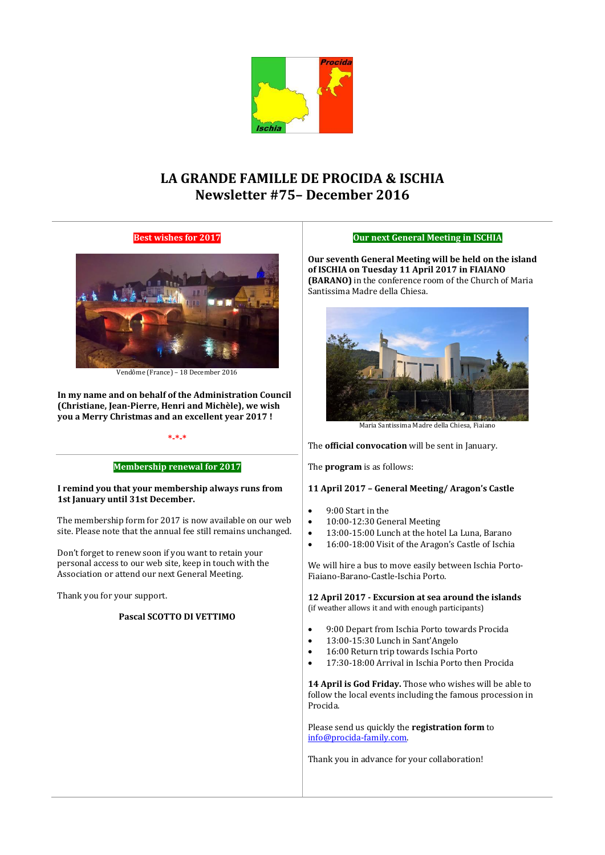

# **LA GRANDE FAMILLE DE PROCIDA & ISCHIA Newsletter #75– December 2016**

### **Best wishes for 2017**



Vendôme (France) – 18 December 2016

**In my name and on behalf of the Administration Council (Christiane, Jean-Pierre, Henri and Michèle), we wish you a Merry Christmas and an excellent year 2017 !**

#### **\*-\*-\***

#### **Membership renewal for 2017**

#### **I remind you that your membership always runs from 1st January until 31st December.**

The membership form for 2017 is now available on our web site. Please note that the annual fee still remains unchanged.

Don't forget to renew soon if you want to retain your personal access to our web site, keep in touch with the Association or attend our next General Meeting.

Thank you for your support.

## **Pascal SCOTTO DI VETTIMO**

#### **Our next General Meeting in ISCHIA**

**Our seventh General Meeting will be held on the island of ISCHIA on Tuesday 11 April 2017 in FIAIANO (BARANO)** in the conference room of the Church of Maria Santissima Madre della Chiesa.



Maria Santissima Madre della Chiesa, Fiaiano

The **official convocation** will be sent in January.

The **program** is as follows:

#### **11 April 2017 – General Meeting/ Aragon's Castle**

- 9:00 Start in the
- 10:00-12:30 General Meeting
- 13:00-15:00 Lunch at the hotel La Luna, Barano
- 16:00-18:00 Visit of the Aragon's Castle of Ischia

We will hire a bus to move easily between Ischia Porto-Fiaiano-Barano-Castle-Ischia Porto.

**12 April 2017 - Excursion at sea around the islands**  (if weather allows it and with enough participants)

- 9:00 Depart from Ischia Porto towards Procida
- 13:00-15:30 Lunch in Sant'Angelo
- 16:00 Return trip towards Ischia Porto
- 17:30-18:00 Arrival in Ischia Porto then Procida

**14 April is God Friday.** Those who wishes will be able to follow the local events including the famous procession in Procida.

Please send us quickly the **registration form** to [info@procida-family.com.](mailto:info@procida-family.com) 

Thank you in advance for your collaboration!